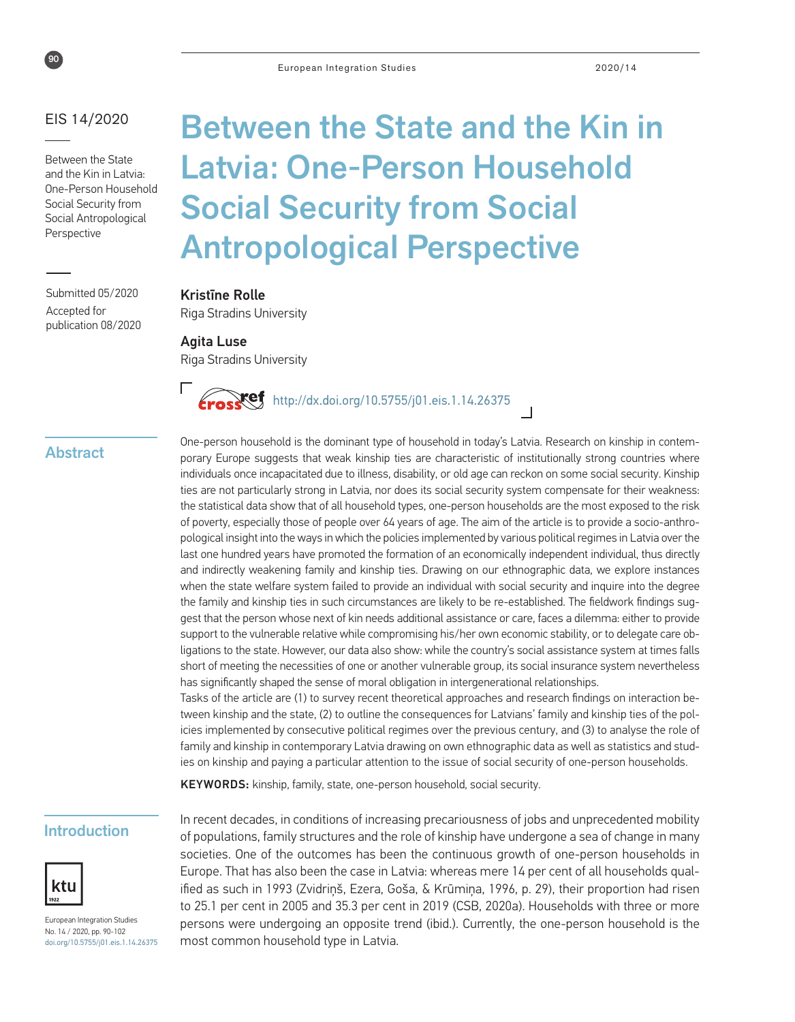

#### EIS 14/2020

Between the State and the Kin in Latvia: One-Person Household Social Security from Social Antropological Perspective

Submitted 05/2020 Accepted for publication 08/2020

# Between the State and the Kin in Latvia: One-Person Household Social Security from Social Antropological Perspective

#### Kristīne Rolle

Riga Stradins University

Agita Luse Riga Stradins University



#### Abstract

One-person household is the dominant type of household in today's Latvia. Research on kinship in contemporary Europe suggests that weak kinship ties are characteristic of institutionally strong countries where individuals once incapacitated due to illness, disability, or old age can reckon on some social security. Kinship ties are not particularly strong in Latvia, nor does its social security system compensate for their weakness: the statistical data show that of all household types, one-person households are the most exposed to the risk of poverty, especially those of people over 64 years of age. The aim of the article is to provide a socio-anthropological insight into the ways in which the policies implemented by various political regimes in Latvia over the last one hundred years have promoted the formation of an economically independent individual, thus directly and indirectly weakening family and kinship ties. Drawing on our ethnographic data, we explore instances when the state welfare system failed to provide an individual with social security and inquire into the degree the family and kinship ties in such circumstances are likely to be re-established. The fieldwork findings suggest that the person whose next of kin needs additional assistance or care, faces a dilemma: either to provide support to the vulnerable relative while compromising his/her own economic stability, or to delegate care obligations to the state. However, our data also show: while the country's social assistance system at times falls short of meeting the necessities of one or another vulnerable group, its social insurance system nevertheless has significantly shaped the sense of moral obligation in intergenerational relationships.

Tasks of the article are (1) to survey recent theoretical approaches and research findings on interaction between kinship and the state, (2) to outline the consequences for Latvians' family and kinship ties of the policies implemented by consecutive political regimes over the previous century, and (3) to analyse the role of family and kinship in contemporary Latvia drawing on own ethnographic data as well as statistics and studies on kinship and paying a particular attention to the issue of social security of one-person households.

KEYWORDS: kinship, family, state, one-person household, social security.

#### Introduction



European Integration Studies No. 14 / 2020, pp. 90-102 [doi.org/10.5755/j01.eis.](http://doi.org/10.5755/j01.eis.0.13.23562)1.14.26375 In recent decades, in conditions of increasing precariousness of jobs and unprecedented mobility of populations, family structures and the role of kinship have undergone a sea of change in many societies. One of the outcomes has been the continuous growth of one-person households in Europe. That has also been the case in Latvia: whereas mere 14 per cent of all households qualified as such in 1993 (Zvidriņš, Ezera, Goša, & Krūmiņa, 1996, p. 29), their proportion had risen to 25.1 per cent in 2005 and 35.3 per cent in 2019 (CSB, 2020a). Households with three or more persons were undergoing an opposite trend (ibid.). Currently, the one-person household is the most common household type in Latvia.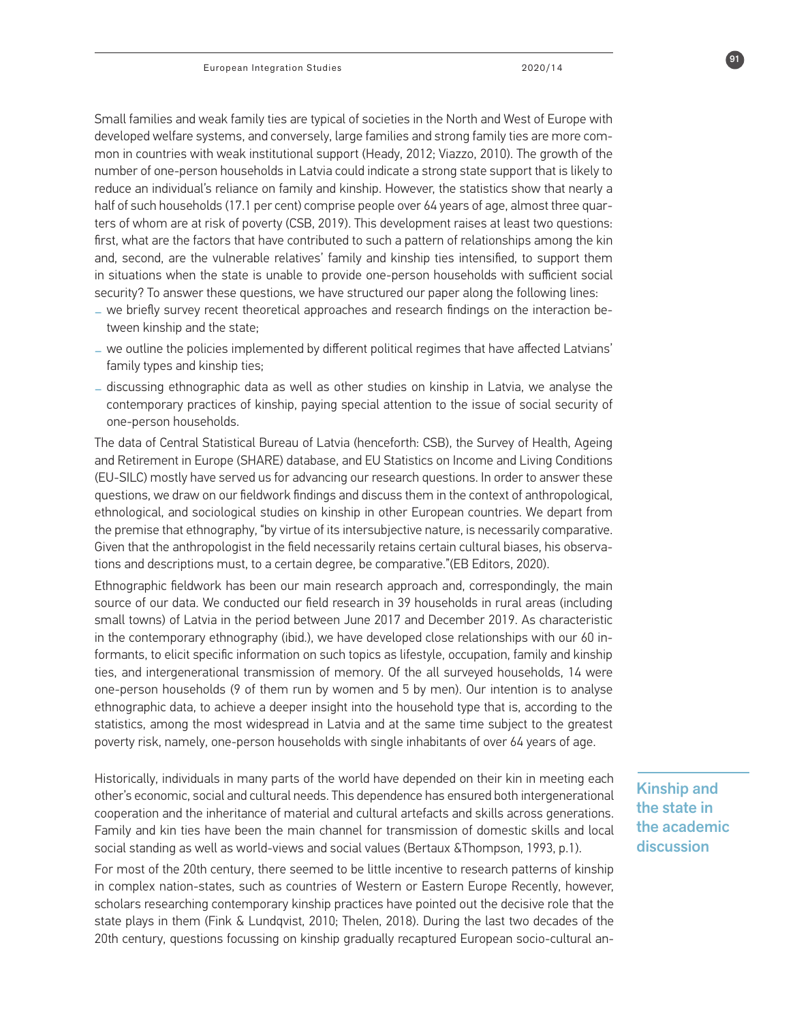Small families and weak family ties are typical of societies in the North and West of Europe with developed welfare systems, and conversely, large families and strong family ties are more common in countries with weak institutional support (Heady, 2012; Viazzo, 2010). The growth of the number of one-person households in Latvia could indicate a strong state support that is likely to reduce an individual's reliance on family and kinship. However, the statistics show that nearly a half of such households (17.1 per cent) comprise people over 64 years of age, almost three quarters of whom are at risk of poverty (CSB, 2019). This development raises at least two questions: first, what are the factors that have contributed to such a pattern of relationships among the kin and, second, are the vulnerable relatives' family and kinship ties intensified, to support them in situations when the state is unable to provide one-person households with sufficient social security? To answer these questions, we have structured our paper along the following lines:

- **\_** we briefly survey recent theoretical approaches and research findings on the interaction between kinship and the state;
- **\_** we outline the policies implemented by different political regimes that have affected Latvians' family types and kinship ties;
- **\_** discussing ethnographic data as well as other studies on kinship in Latvia, we analyse the contemporary practices of kinship, paying special attention to the issue of social security of one-person households.

The data of Central Statistical Bureau of Latvia (henceforth: CSB), the Survey of Health, Ageing and Retirement in Europe (SHARE) database, and EU Statistics on Income and Living Conditions (EU-SILC) mostly have served us for advancing our research questions. In order to answer these questions, we draw on our fieldwork findings and discuss them in the context of anthropological, ethnological, and sociological studies on kinship in other European countries. We depart from the premise that ethnography, "by virtue of its intersubjective nature, is necessarily comparative. Given that the anthropologist in the field necessarily retains certain cultural biases, his observations and descriptions must, to a certain degree, be comparative."(EB Editors, 2020).

Ethnographic fieldwork has been our main research approach and, correspondingly, the main source of our data. We conducted our field research in 39 households in rural areas (including small towns) of Latvia in the period between June 2017 and December 2019. As characteristic in the contemporary ethnography (ibid.), we have developed close relationships with our 60 informants, to elicit specific information on such topics as lifestyle, occupation, family and kinship ties, and intergenerational transmission of memory. Of the all surveyed households, 14 were one-person households (9 of them run by women and 5 by men). Our intention is to analyse ethnographic data, to achieve a deeper insight into the household type that is, according to the statistics, among the most widespread in Latvia and at the same time subject to the greatest poverty risk, namely, one-person households with single inhabitants of over 64 years of age.

Historically, individuals in many parts of the world have depended on their kin in meeting each other's economic, social and cultural needs. This dependence has ensured both intergenerational cooperation and the inheritance of material and cultural artefacts and skills across generations. Family and kin ties have been the main channel for transmission of domestic skills and local social standing as well as world-views and social values (Bertaux &Thompson, 1993, p.1).

For most of the 20th century, there seemed to be little incentive to research patterns of kinship in complex nation-states, such as countries of Western or Eastern Europe Recently, however, scholars researching contemporary kinship practices have pointed out the decisive role that the state plays in them (Fink & Lundqvist, 2010; Thelen, 2018). During the last two decades of the 20th century, questions focussing on kinship gradually recaptured European socio-cultural anKinship and the state in the academic discussion

91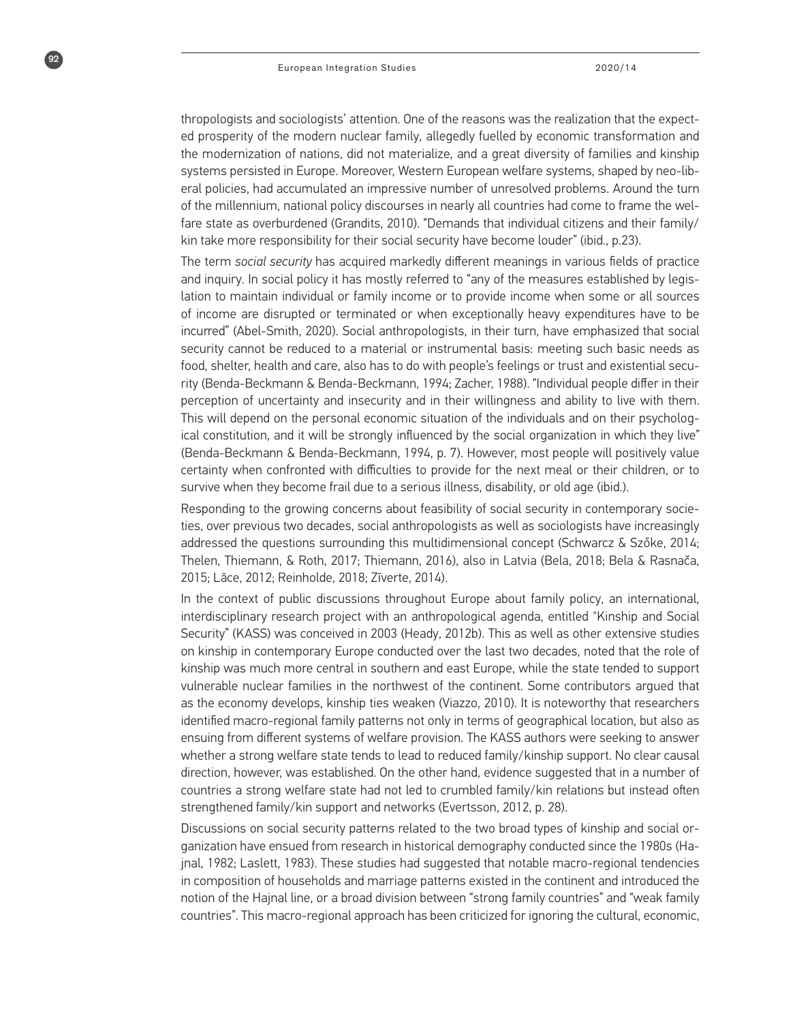$92$ 

thropologists and sociologists' attention. One of the reasons was the realization that the expected prosperity of the modern nuclear family, allegedly fuelled by economic transformation and the modernization of nations, did not materialize, and a great diversity of families and kinship systems persisted in Europe. Moreover, Western European welfare systems, shaped by neo-liberal policies, had accumulated an impressive number of unresolved problems. Around the turn of the millennium, national policy discourses in nearly all countries had come to frame the welfare state as overburdened (Grandits, 2010). "Demands that individual citizens and their family/ kin take more responsibility for their social security have become louder" (ibid., p.23).

The term *social security* has acquired markedly different meanings in various fields of practice and inquiry. In social policy it has mostly referred to "any of the measures established by legislation to maintain individual or family income or to provide income when some or all sources of income are disrupted or terminated or when exceptionally heavy expenditures have to be incurred" (Abel-Smith, 2020). Social anthropologists, in their turn, have emphasized that social security cannot be reduced to a material or instrumental basis: meeting such basic needs as food, shelter, health and care, also has to do with people's feelings or trust and existential security (Benda-Beckmann & Benda-Beckmann, 1994; Zacher, 1988). "Individual people differ in their perception of uncertainty and insecurity and in their willingness and ability to live with them. This will depend on the personal economic situation of the individuals and on their psychological constitution, and it will be strongly influenced by the social organization in which they live" (Benda-Beckmann & Benda-Beckmann, 1994, p. 7). However, most people will positively value certainty when confronted with difficulties to provide for the next meal or their children, or to survive when they become frail due to a serious illness, disability, or old age (ibid.).

Responding to the growing concerns about feasibility of social security in contemporary societies, over previous two decades, social anthropologists as well as sociologists have increasingly addressed the questions surrounding this multidimensional concept (Schwarcz & Szőke, 2014; Thelen, Thiemann, & Roth, 2017; Thiemann, 2016), also in Latvia (Bela, 2018; Bela & Rasnača, 2015; Lāce, 2012; Reinholde, 2018; Zīverte, 2014).

In the context of public discussions throughout Europe about family policy, an international, interdisciplinary research project with an anthropological agenda, entitled "Kinship and Social Security" (KASS) was conceived in 2003 (Heady, 2012b). This as well as other extensive studies on kinship in contemporary Europe conducted over the last two decades, noted that the role of kinship was much more central in southern and east Europe, while the state tended to support vulnerable nuclear families in the northwest of the continent. Some contributors argued that as the economy develops, kinship ties weaken (Viazzo, 2010). It is noteworthy that researchers identified macro-regional family patterns not only in terms of geographical location, but also as ensuing from different systems of welfare provision. The KASS authors were seeking to answer whether a strong welfare state tends to lead to reduced family/kinship support. No clear causal direction, however, was established. On the other hand, evidence suggested that in a number of countries a strong welfare state had not led to crumbled family/kin relations but instead often strengthened family/kin support and networks (Evertsson, 2012, p. 28).

Discussions on social security patterns related to the two broad types of kinship and social organization have ensued from research in historical demography conducted since the 1980s (Hajnal, 1982; Laslett, 1983). These studies had suggested that notable macro-regional tendencies in composition of households and marriage patterns existed in the continent and introduced the notion of the Hajnal line, or a broad division between "strong family countries" and "weak family countries". This macro-regional approach has been criticized for ignoring the cultural, economic,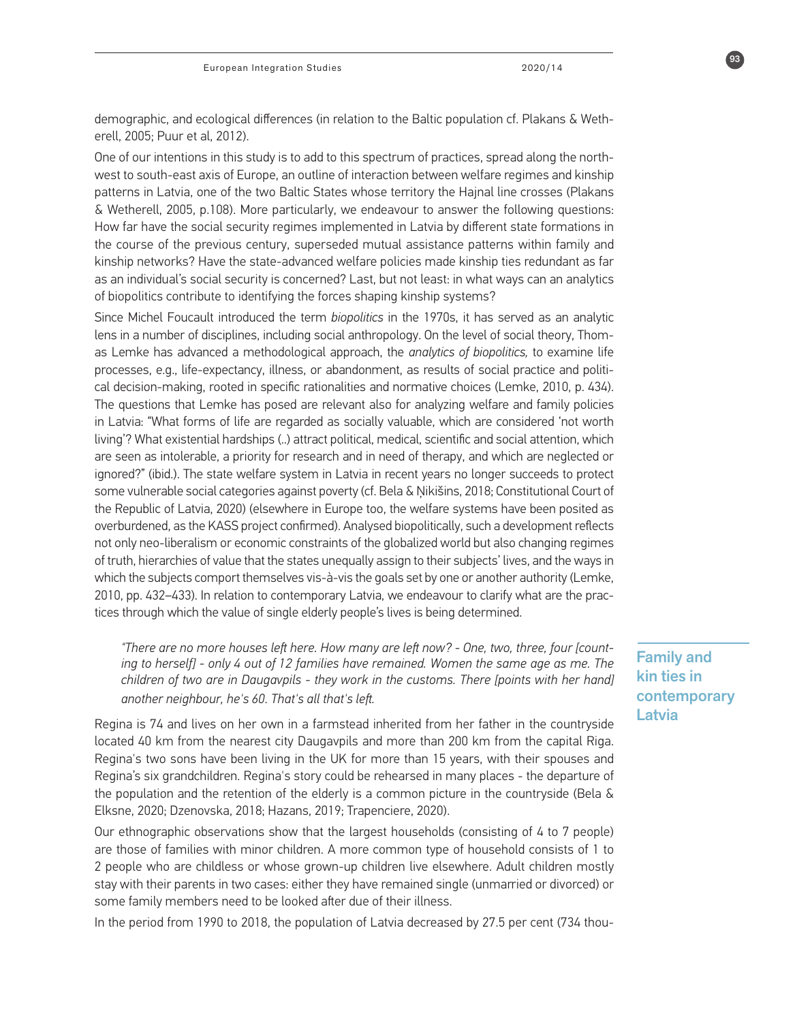demographic, and ecological differences (in relation to the Baltic population cf. Plakans & Wetherell, 2005; Puur et al, 2012).

One of our intentions in this study is to add to this spectrum of practices, spread along the northwest to south-east axis of Europe, an outline of interaction between welfare regimes and kinship patterns in Latvia, one of the two Baltic States whose territory the Hajnal line crosses (Plakans & Wetherell, 2005, p.108). More particularly, we endeavour to answer the following questions: How far have the social security regimes implemented in Latvia by different state formations in the course of the previous century, superseded mutual assistance patterns within family and kinship networks? Have the state-advanced welfare policies made kinship ties redundant as far as an individual's social security is concerned? Last, but not least: in what ways can an analytics of biopolitics contribute to identifying the forces shaping kinship systems?

Since Michel Foucault introduced the term *biopolitics* in the 1970s, it has served as an analytic lens in a number of disciplines, including social anthropology. On the level of social theory, Thomas Lemke has advanced a methodological approach, the *analytics of biopolitics,* to examine life processes, e.g., life-expectancy, illness, or abandonment, as results of social practice and political decision-making, rooted in specific rationalities and normative choices (Lemke, 2010, p. 434). The questions that Lemke has posed are relevant also for analyzing welfare and family policies in Latvia: "What forms of life are regarded as socially valuable, which are considered 'not worth living'? What existential hardships (..) attract political, medical, scientific and social attention, which are seen as intolerable, a priority for research and in need of therapy, and which are neglected or ignored?" (ibid.). The state welfare system in Latvia in recent years no longer succeeds to protect some vulnerable social categories against poverty (cf. Bela & Ņikišins, 2018; Constitutional Court of the Republic of Latvia, 2020) (elsewhere in Europe too, the welfare systems have been posited as overburdened, as the KASS project confirmed). Analysed biopolitically, such a development reflects not only neo-liberalism or economic constraints of the globalized world but also changing regimes of truth, hierarchies of value that the states unequally assign to their subjects' lives, and the ways in which the subjects comport themselves vis-à-vis the goals set by one or another authority (Lemke, 2010, pp. 432–433). In relation to contemporary Latvia, we endeavour to clarify what are the practices through which the value of single elderly people's lives is being determined.

*"There are no more houses left here. How many are left now? - One, two, three, four [counting to herself] - only 4 out of 12 families have remained. Women the same age as me. The children of two are in Daugavpils - they work in the customs. There [points with her hand] another neighbour, he's 60. That's all that's left.* 

Regina is 74 and lives on her own in a farmstead inherited from her father in the countryside located 40 km from the nearest city Daugavpils and more than 200 km from the capital Riga. Regina's two sons have been living in the UK for more than 15 years, with their spouses and Regina's six grandchildren. Regina's story could be rehearsed in many places - the departure of the population and the retention of the elderly is a common picture in the countryside (Bela & Elksne, 2020; Dzenovska, 2018; Hazans, 2019; Trapenciere, 2020).

Our ethnographic observations show that the largest households (consisting of 4 to 7 people) are those of families with minor children. A more common type of household consists of 1 to 2 people who are childless or whose grown-up children live elsewhere. Adult children mostly stay with their parents in two cases: either they have remained single (unmarried or divorced) or some family members need to be looked after due of their illness.

In the period from 1990 to 2018, the population of Latvia decreased by 27.5 per cent (734 thou-

### Family and kin ties in contemporary Latvia

93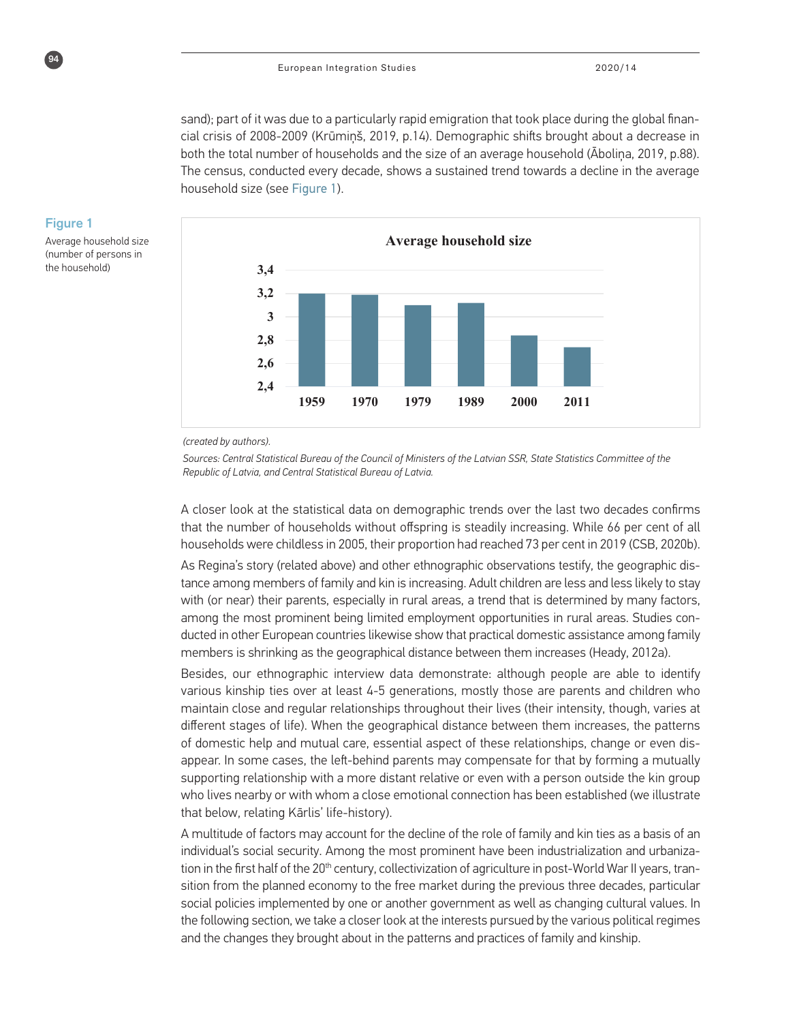sand); part of it was due to a particularly rapid emigration that took place during the global financial crisis of 2008-2009 (Krūmiņš, 2019, p.14). Demographic shifts brought about a decrease in both the total number of households and the size of an average household (Āboliņa, 2019, p.88). The census, conducted every decade, shows a sustained trend towards a decline in the average household size (see Figure 1).



#### Figure 1

94

Average household size (number of persons in the household)

#### *(created by authors).*

*Sources: Central Statistical Bureau of the Council of Ministers of the Latvian SSR, State Statistics Committee of the Republic of Latvia, and Central Statistical Bureau of Latvia.*

**At-risk-of poverty index by one-person household type** A closer look at the statistical data on demographic trends over the last two decades confirms **(%)** that the number of households without offspring is steadily increasing. While 66 per cent of all households were childless in 2005, their proportion had reached 73 per cent in 2019 (CSB, 2020b).

**36,8 39,2 38,8 33,2 33,5 32,3 34,9 31,7** members is shrinking as the geographical distance between them increases (Heady, 2012a). **44,7** ducted in other European countries likewise show that practical domestic assistance among family **73,5 78,9 72,8 74,9** tance among members of family and kin is increasing. Adult children are less and less likely to stay **67,4** with (or near) their parents, especially in rural areas, a trend that is determined by many factors, As Regina's story (related above) and other ethnographic observations testify, the geographic disamong the most prominent being limited employment opportunities in rural areas. Studies con-

**8,5** various kinship ties over at least 4-5 generations, mostly those are parents and children who **29,2** Besides, our ethnographic interview data demonstrate: although people are able to identify maintain close and regular relationships throughout their lives (their intensity, though, varies at of domestic help and mutual care, essential aspect of these relationships, change or even disdifferent stages of life). When the geographical distance between them increases, the patterns appear. In some cases, the left-behind parents may compensate for that by forming a mutually supporting relationship with a more distant relative or even with a person outside the kin group who lives nearby or with whom a close emotional connection has been established (we illustrate that below, relating Kārlis' life-history).

A multitude of factors may account for the decline of the role of family and kin ties as a basis of an individual's social security. Among the most prominent have been industrialization and urbanization in the first half of the 20<sup>th</sup> century, collectivization of agriculture in post-World War II years, transition from the planned economy to the free market during the previous three decades, particular social policies implemented by one or another government as well as changing cultural values. In the following section, we take a closer look at the interests pursued by the various political regimes and the changes they brought about in the patterns and practices of family and kinship.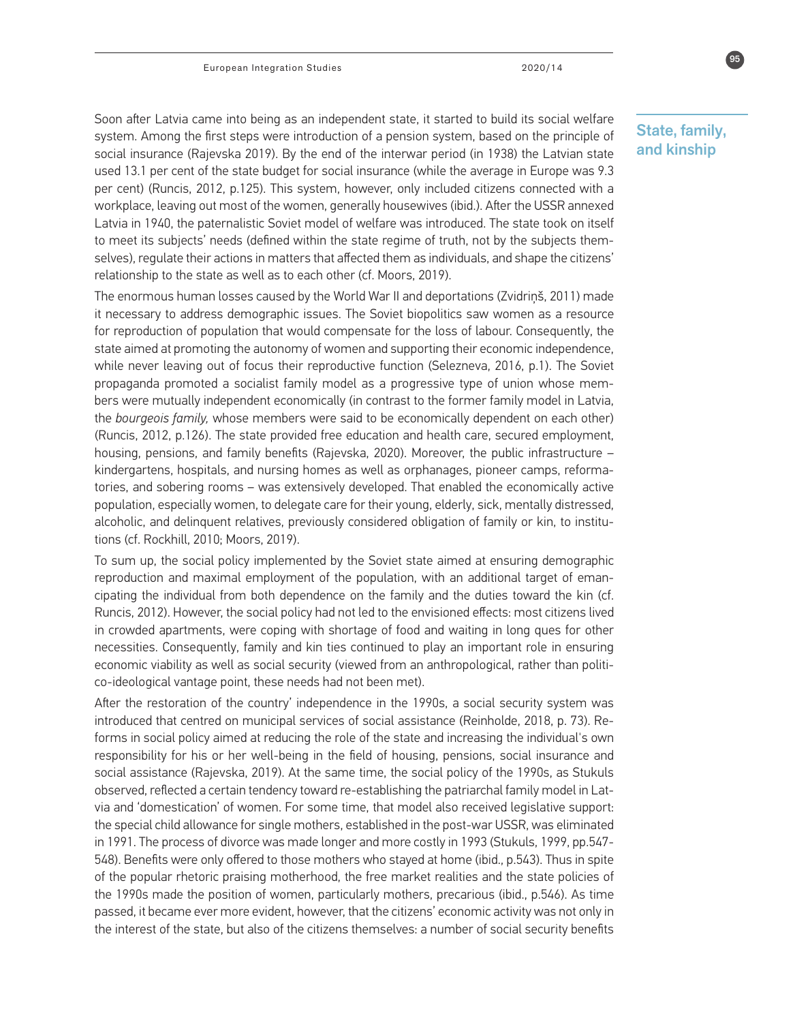Soon after Latvia came into being as an independent state, it started to build its social welfare system. Among the first steps were introduction of a pension system, based on the principle of social insurance (Rajevska 2019). By the end of the interwar period (in 1938) the Latvian state used 13.1 per cent of the state budget for social insurance (while the average in Europe was 9.3 per cent) (Runcis, 2012, p.125). This system, however, only included citizens connected with a workplace, leaving out most of the women, generally housewives (ibid.). After the USSR annexed Latvia in 1940, the paternalistic Soviet model of welfare was introduced. The state took on itself to meet its subjects' needs (defined within the state regime of truth, not by the subjects themselves), regulate their actions in matters that affected them as individuals, and shape the citizens' relationship to the state as well as to each other (cf. Moors, 2019).

The enormous human losses caused by the World War II and deportations (Zvidriņš, 2011) made it necessary to address demographic issues. The Soviet biopolitics saw women as a resource for reproduction of population that would compensate for the loss of labour. Consequently, the state aimed at promoting the autonomy of women and supporting their economic independence, while never leaving out of focus their reproductive function (Selezneva, 2016, p.1). The Soviet propaganda promoted a socialist family model as a progressive type of union whose members were mutually independent economically (in contrast to the former family model in Latvia, the *bourgeois family,* whose members were said to be economically dependent on each other) (Runcis, 2012, p.126). The state provided free education and health care, secured employment, housing, pensions, and family benefits (Rajevska, 2020). Moreover, the public infrastructure – kindergartens, hospitals, and nursing homes as well as orphanages, pioneer camps, reformatories, and sobering rooms – was extensively developed. That enabled the economically active population, especially women, to delegate care for their young, elderly, sick, mentally distressed, alcoholic, and delinquent relatives, previously considered obligation of family or kin, to institutions (cf. Rockhill, 2010; Moors, 2019).

To sum up, the social policy implemented by the Soviet state aimed at ensuring demographic reproduction and maximal employment of the population, with an additional target of emancipating the individual from both dependence on the family and the duties toward the kin (cf. Runcis, 2012). However, the social policy had not led to the envisioned effects: most citizens lived in crowded apartments, were coping with shortage of food and waiting in long ques for other necessities. Consequently, family and kin ties continued to play an important role in ensuring economic viability as well as social security (viewed from an anthropological, rather than politico-ideological vantage point, these needs had not been met).

After the restoration of the country' independence in the 1990s, a social security system was introduced that centred on municipal services of social assistance (Reinholde, 2018, p. 73). Reforms in social policy aimed at reducing the role of the state and increasing the individual's own responsibility for his or her well-being in the field of housing, pensions, social insurance and social assistance (Rajevska, 2019). At the same time, the social policy of the 1990s, as Stukuls observed, reflected a certain tendency toward re-establishing the patriarchal family model in Latvia and 'domestication' of women. For some time, that model also received legislative support: the special child allowance for single mothers, established in the post-war USSR, was eliminated in 1991. The process of divorce was made longer and more costly in 1993 (Stukuls, 1999, pp.547- 548). Benefits were only offered to those mothers who stayed at home (ibid., p.543). Thus in spite of the popular rhetoric praising motherhood, the free market realities and the state policies of the 1990s made the position of women, particularly mothers, precarious (ibid., p.546). As time passed, it became ever more evident, however, that the citizens' economic activity was not only in the interest of the state, but also of the citizens themselves: a number of social security benefits



State, family, and kinship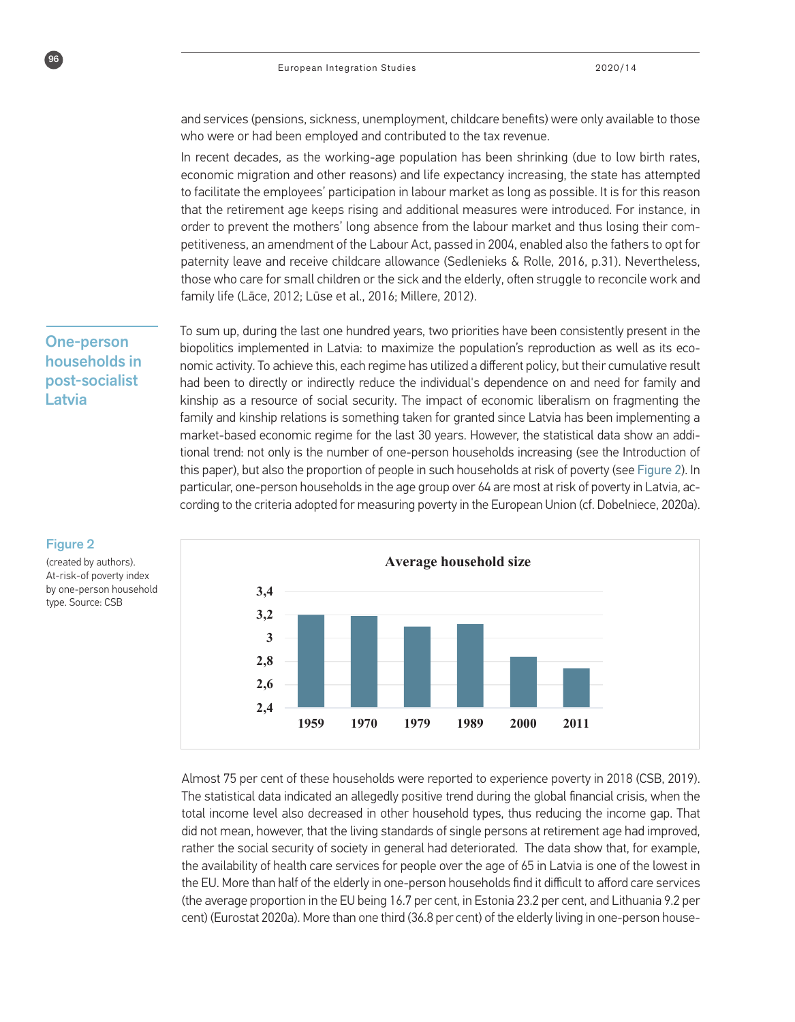and services (pensions, sickness, unemployment, childcare benefits) were only available to those who were or had been employed and contributed to the tax revenue.

In recent decades, as the working-age population has been shrinking (due to low birth rates, economic migration and other reasons) and life expectancy increasing, the state has attempted to facilitate the employees' participation in labour market as long as possible. It is for this reason that the retirement age keeps rising and additional measures were introduced. For instance, in order to prevent the mothers' long absence from the labour market and thus losing their competitiveness, an amendment of the Labour Act, passed in 2004, enabled also the fathers to opt for paternity leave and receive childcare allowance (Sedlenieks & Rolle, 2016, p.31). Nevertheless, those who care for small children or the sick and the elderly, often struggle to reconcile work and family life (Lāce, 2012; Lūse et al., 2016; Millere, 2012).

To sum up, during the last one hundred years, two priorities have been consistently present in the biopolitics implemented in Latvia: to maximize the population's reproduction as well as its economic activity. To achieve this, each regime has utilized a different policy, but their cumulative result had been to directly or indirectly reduce the individual's dependence on and need for family and kinship as a resource of social security. The impact of economic liberalism on fragmenting the family and kinship relations is something taken for granted since Latvia has been implementing a market-based economic regime for the last 30 years. However, the statistical data show an additional trend: not only is the number of one-person households increasing (see the Introduction of this paper), but also the proportion of people in such households at risk of poverty (see Figure 2). In particular, one-person households in the age group over 64 are most at risk of poverty in Latvia, according to the criteria adopted for measuring poverty in the European Union (cf. Dobelniece, 2020a).



## Figure 2

One-person households in post-socialist

Latvia

 $96$ 

(created by authors). At-risk-of poverty index by one-person household type. Source: CSB

> **73,447,999, Cent) (Eurostat 2020a). More than one third (36.8 per cent) of the elderly living in one-person house-78,9** (the average proportion in the EU being 16.7 per cent, in Estonia 23.2 per cent, and Lithuania 9.2 per **At-risk-of poverty index by one-person household type** total income level also decreased in other household types, thus reducing the income gap. That ald not mean, nowever, that the tiving standards or single persons acceleration age had improved, rather the social security of society in general had deteriorated. The data show that, for example, Almost 75 per cent of these households were reported to experience poverty in 2018 (CSB, 2019). The statistical data indicated an allegedly positive trend during the global financial crisis, when the did not mean, however, that the living standards of single persons at retirement age had improved, the availability of health care services for people over the age of 65 in Latvia is one of the lowest in the EU. More than half of the elderly in one-person households find it difficult to afford care services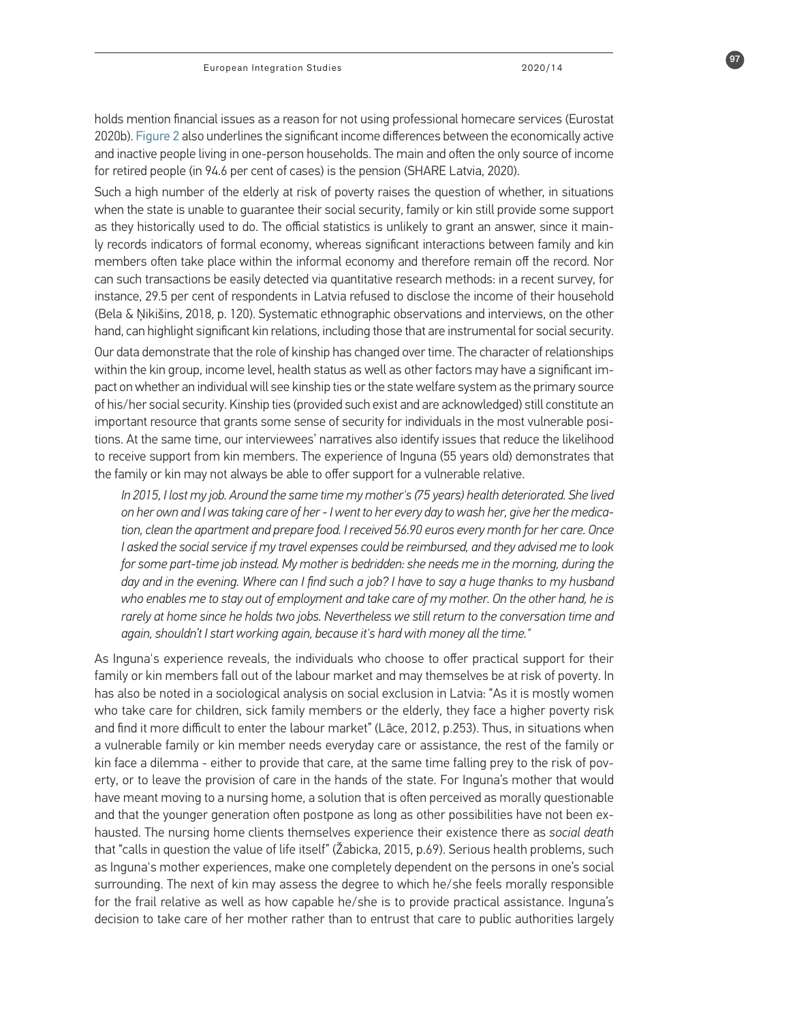holds mention financial issues as a reason for not using professional homecare services (Eurostat 2020b). Figure 2 also underlines the significant income differences between the economically active and inactive people living in one-person households. The main and often the only source of income for retired people (in 94.6 per cent of cases) is the pension (SHARE Latvia, 2020).

Such a high number of the elderly at risk of poverty raises the question of whether, in situations when the state is unable to guarantee their social security, family or kin still provide some support as they historically used to do. The official statistics is unlikely to grant an answer, since it mainly records indicators of formal economy, whereas significant interactions between family and kin members often take place within the informal economy and therefore remain off the record. Nor can such transactions be easily detected via quantitative research methods: in a recent survey, for instance, 29.5 per cent of respondents in Latvia refused to disclose the income of their household (Bela & Ņikišins, 2018, p. 120). Systematic ethnographic observations and interviews, on the other hand, can highlight significant kin relations, including those that are instrumental for social security.

Our data demonstrate that the role of kinship has changed over time. The character of relationships within the kin group, income level, health status as well as other factors may have a significant impact on whether an individual will see kinship ties or the state welfare system as the primary source of his/her social security. Kinship ties (provided such exist and are acknowledged) still constitute an important resource that grants some sense of security for individuals in the most vulnerable positions. At the same time, our interviewees' narratives also identify issues that reduce the likelihood to receive support from kin members. The experience of Inguna (55 years old) demonstrates that the family or kin may not always be able to offer support for a vulnerable relative.

*In 2015, I lost my job. Around the same time my mother's (75 years) health deteriorated. She lived on her own and I was taking care of her - I went to her every day to wash her, give her the medication, clean the apartment and prepare food. I received 56.90 euros every month for her care. Once I asked the social service if my travel expenses could be reimbursed, and they advised me to look for some part-time job instead. My mother is bedridden: she needs me in the morning, during the day and in the evening. Where can I find such a job? I have to say a huge thanks to my husband who enables me to stay out of employment and take care of my mother. On the other hand, he is rarely at home since he holds two jobs. Nevertheless we still return to the conversation time and again, shouldn't I start working again, because it's hard with money all the time."*

As Inguna's experience reveals, the individuals who choose to offer practical support for their family or kin members fall out of the labour market and may themselves be at risk of poverty. In has also be noted in a sociological analysis on social exclusion in Latvia: "As it is mostly women who take care for children, sick family members or the elderly, they face a higher poverty risk and find it more difficult to enter the labour market" (Lāce, 2012, p.253). Thus, in situations when a vulnerable family or kin member needs everyday care or assistance, the rest of the family or kin face a dilemma - either to provide that care, at the same time falling prey to the risk of poverty, or to leave the provision of care in the hands of the state. For Inguna's mother that would have meant moving to a nursing home, a solution that is often perceived as morally questionable and that the younger generation often postpone as long as other possibilities have not been exhausted. The nursing home clients themselves experience their existence there as *social death* that "calls in question the value of life itself" (Žabicka, 2015, p.69). Serious health problems, such as Inguna's mother experiences, make one completely dependent on the persons in one's social surrounding. The next of kin may assess the degree to which he/she feels morally responsible for the frail relative as well as how capable he/she is to provide practical assistance. Inguna's decision to take care of her mother rather than to entrust that care to public authorities largely

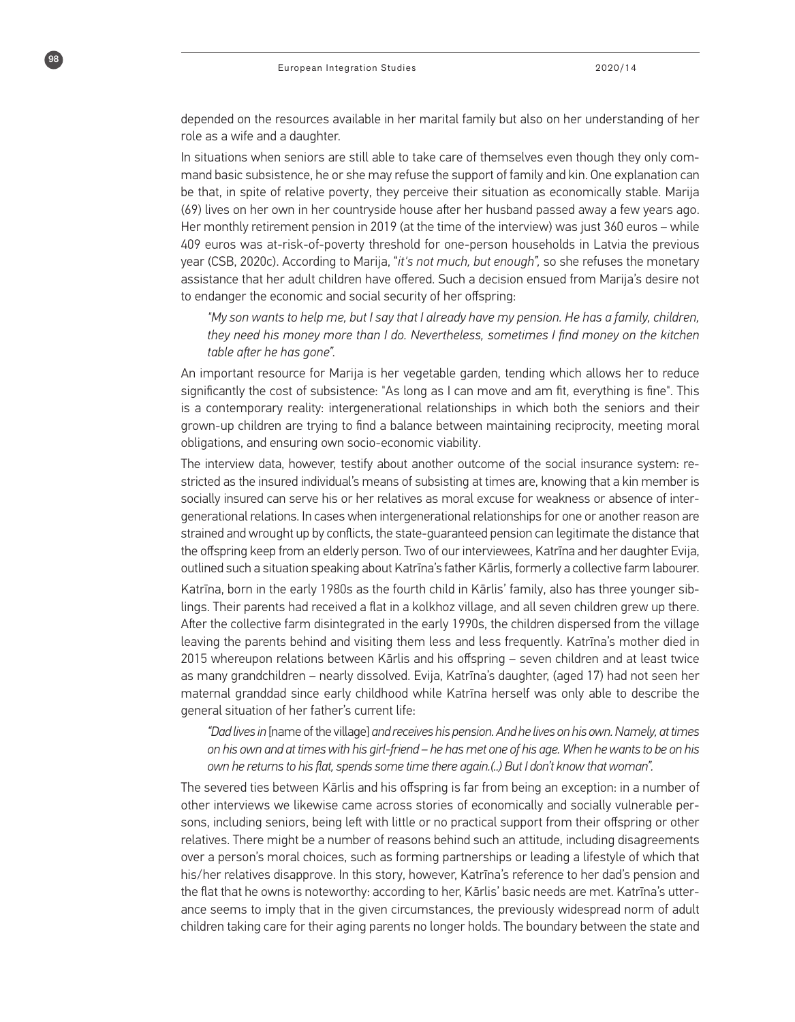98

depended on the resources available in her marital family but also on her understanding of her role as a wife and a daughter.

In situations when seniors are still able to take care of themselves even though they only command basic subsistence, he or she may refuse the support of family and kin. One explanation can be that, in spite of relative poverty, they perceive their situation as economically stable. Marija (69) lives on her own in her countryside house after her husband passed away a few years ago. Her monthly retirement pension in 2019 (at the time of the interview) was just 360 euros – while 409 euros was at-risk-of-poverty threshold for one-person households in Latvia the previous year (CSB, 2020c). According to Marija, "*it's not much, but enough",* so she refuses the monetary assistance that her adult children have offered. Such a decision ensued from Marija's desire not to endanger the economic and social security of her offspring:

*"My son wants to help me, but I say that I already have my pension. He has a family, children, they need his money more than I do. Nevertheless, sometimes I find money on the kitchen table after he has gone".*

An important resource for Marija is her vegetable garden, tending which allows her to reduce significantly the cost of subsistence: "As long as I can move and am fit, everything is fine". This is a contemporary reality: intergenerational relationships in which both the seniors and their grown-up children are trying to find a balance between maintaining reciprocity, meeting moral obligations, and ensuring own socio-economic viability.

The interview data, however, testify about another outcome of the social insurance system: restricted as the insured individual's means of subsisting at times are, knowing that a kin member is socially insured can serve his or her relatives as moral excuse for weakness or absence of intergenerational relations. In cases when intergenerational relationships for one or another reason are strained and wrought up by conflicts, the state-guaranteed pension can legitimate the distance that the offspring keep from an elderly person. Two of our interviewees, Katrīna and her daughter Evija, outlined such a situation speaking about Katrīna's father Kārlis, formerly a collective farm labourer.

Katrīna, born in the early 1980s as the fourth child in Kārlis' family, also has three younger siblings. Their parents had received a flat in a kolkhoz village, and all seven children grew up there. After the collective farm disintegrated in the early 1990s, the children dispersed from the village leaving the parents behind and visiting them less and less frequently. Katrīna's mother died in 2015 whereupon relations between Kārlis and his offspring – seven children and at least twice as many grandchildren – nearly dissolved. Evija, Katrīna's daughter, (aged 17) had not seen her maternal granddad since early childhood while Katrīna herself was only able to describe the general situation of her father's current life:

*"Dad lives in* [name of the village] *and receives his pension. And he lives on his own. Namely, at times on his own and at times with his girl-friend – he has met one of his age. When he wants to be on his own he returns to his flat, spends some time there again.(..) But I don't know that woman".*

The severed ties between Kārlis and his offspring is far from being an exception: in a number of other interviews we likewise came across stories of economically and socially vulnerable persons, including seniors, being left with little or no practical support from their offspring or other relatives. There might be a number of reasons behind such an attitude, including disagreements over a person's moral choices, such as forming partnerships or leading a lifestyle of which that his/her relatives disapprove. In this story, however, Katrīna's reference to her dad's pension and the flat that he owns is noteworthy: according to her, Kārlis' basic needs are met. Katrīna's utterance seems to imply that in the given circumstances, the previously widespread norm of adult children taking care for their aging parents no longer holds. The boundary between the state and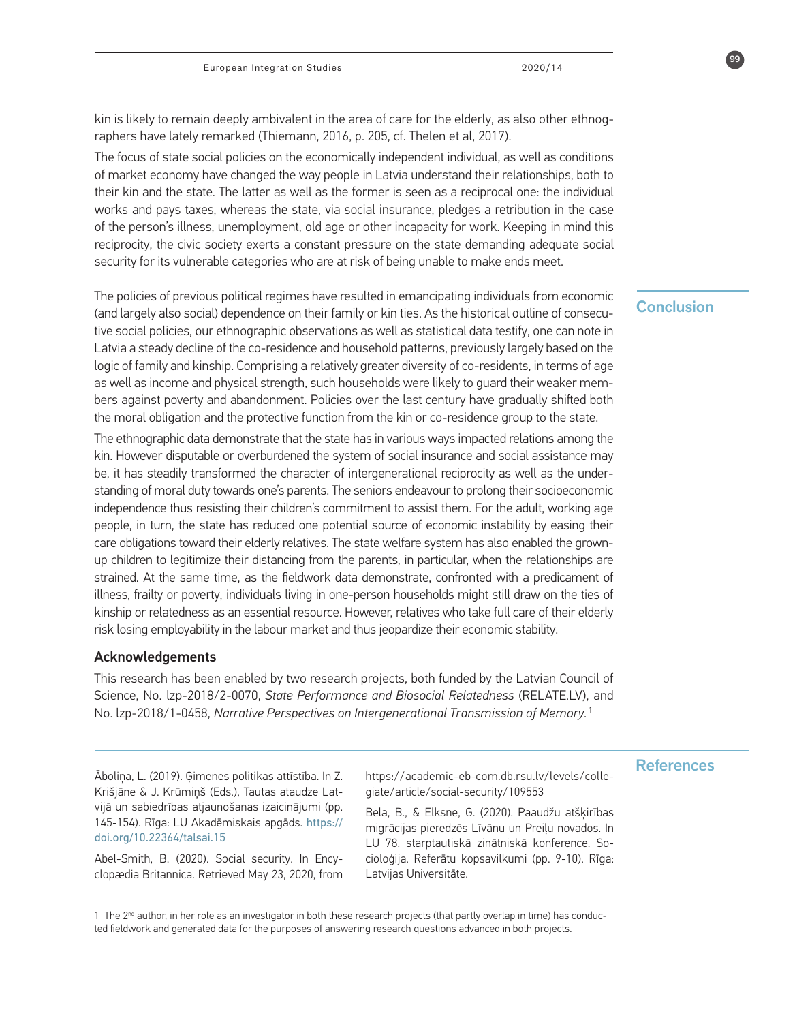kin is likely to remain deeply ambivalent in the area of care for the elderly, as also other ethnographers have lately remarked (Thiemann, 2016, p. 205, cf. Thelen et al, 2017).

The focus of state social policies on the economically independent individual, as well as conditions of market economy have changed the way people in Latvia understand their relationships, both to their kin and the state. The latter as well as the former is seen as a reciprocal one: the individual works and pays taxes, whereas the state, via social insurance, pledges a retribution in the case of the person's illness, unemployment, old age or other incapacity for work. Keeping in mind this reciprocity, the civic society exerts a constant pressure on the state demanding adequate social security for its vulnerable categories who are at risk of being unable to make ends meet.

The policies of previous political regimes have resulted in emancipating individuals from economic<br>Conclusion (and largely also social) dependence on their family or kin ties. As the historical outline of consecutive social policies, our ethnographic observations as well as statistical data testify, one can note in Latvia a steady decline of the co-residence and household patterns, previously largely based on the logic of family and kinship. Comprising a relatively greater diversity of co-residents, in terms of age as well as income and physical strength, such households were likely to guard their weaker members against poverty and abandonment. Policies over the last century have gradually shifted both the moral obligation and the protective function from the kin or co-residence group to the state.

The ethnographic data demonstrate that the state has in various ways impacted relations among the kin. However disputable or overburdened the system of social insurance and social assistance may be, it has steadily transformed the character of intergenerational reciprocity as well as the understanding of moral duty towards one's parents. The seniors endeavour to prolong their socioeconomic independence thus resisting their children's commitment to assist them. For the adult, working age people, in turn, the state has reduced one potential source of economic instability by easing their care obligations toward their elderly relatives. The state welfare system has also enabled the grownup children to legitimize their distancing from the parents, in particular, when the relationships are strained. At the same time, as the fieldwork data demonstrate, confronted with a predicament of illness, frailty or poverty, individuals living in one-person households might still draw on the ties of kinship or relatedness as an essential resource. However, relatives who take full care of their elderly risk losing employability in the labour market and thus jeopardize their economic stability.

#### Acknowledgements

This research has been enabled by two research projects, both funded by the Latvian Council of Science, No. lzp-2018/2-0070, *State Performance and Biosocial Relatedness* (RELATE.LV), and No. lzp-2018/1-0458, *Narrative Perspectives on Intergenerational Transmission of Memory*. 1

Krišjāne & J. Krūmiņš (Eds.), Tautas ataudze Latvijā un sabiedrības atjaunošanas izaicinājumi (pp. 145-154). Rīga: LU Akadēmiskais apgāds. https:// doi.org/10.22364/talsai.15

Abel-Smith, B. (2020). Social security. In Encyclopædia Britannica. Retrieved May 23, 2020, from

References Āboliņa, L. (2019). Ģimenes politikas attīstība. In Z. https://academic-eb-com.db.rsu.lv/levels/collegiate/article/social-security/109553

> Bela, B., & Elksne, G. (2020). Paaudžu atšķirības migrācijas pieredzēs Līvānu un Preiļu novados. In LU 78. starptautiskā zinātniskā konference. Socioloģija. Referātu kopsavilkumi (pp. 9-10). Rīga: Latvijas Universitāte.

1 The 2<sup>nd</sup> author, in her role as an investigator in both these research projects (that partly overlap in time) has conducted fieldwork and generated data for the purposes of answering research questions advanced in both projects.

99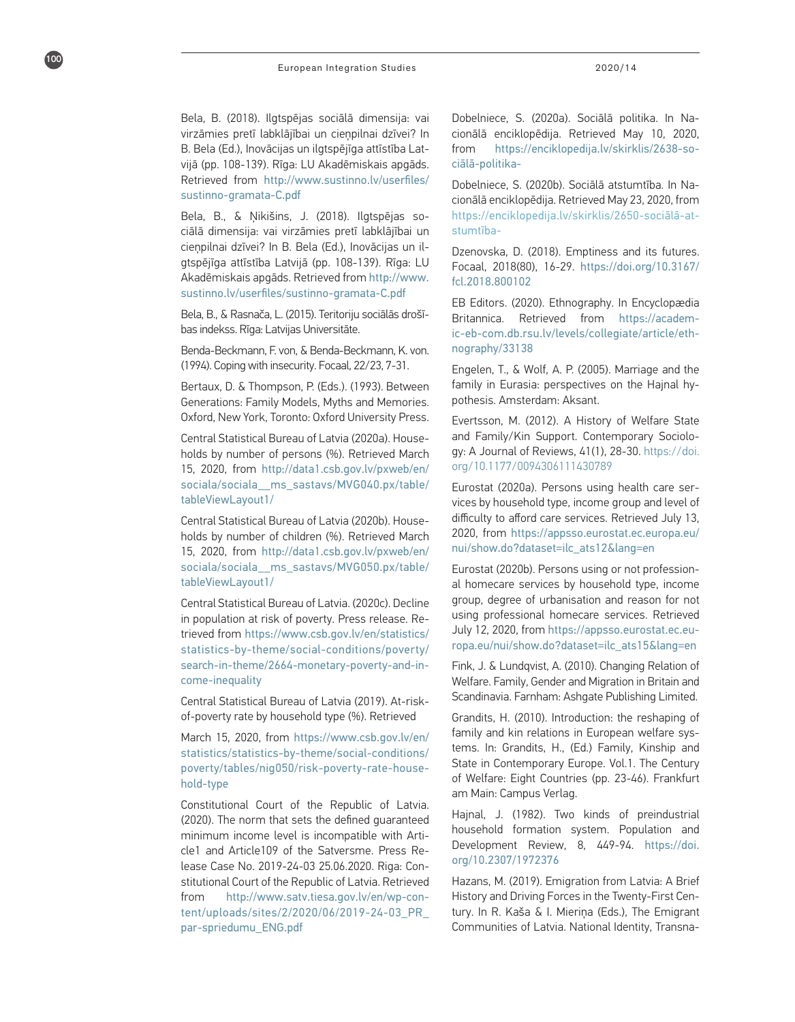Bela, B. (2018). Ilgtspējas sociālā dimensija: vai virzāmies pretī labklājībai un cieņpilnai dzīvei? In B. Bela (Ed.), Inovācijas un ilgtspējīga attīstība Lat vijā (pp. 108-139). Rīga: LU Akadēmiskais apgāds. Retrieved from http://www.sustinno.lv/userfiles/ sustinno-gramata-C.pdf

100

Bela, B., & Ņikišins, J. (2018). Ilgtspējas so ciālā dimensija: vai virzāmies pretī labklājībai un cieņpilnai dzīvei? In B. Bela (Ed.), Inovācijas un il gtspējīga attīstība Latvijā (pp. 108-139). Rīga: LU Akadēmiskais apgāds. Retrieved from http://www. sustinno.lv/userfiles/sustinno-gramata-C.pdf

Bela, B., & Rasnača, L. (2015). Teritoriju sociālās drošī bas indekss. Rīga: Latvijas Universitāte.

Benda-Beckmann, F. von, & Benda-Beckmann, K. von. (1994). Coping with insecurity. Focaal, 22/23, 7-31.

Bertaux, D. & Thompson, P. (Eds.). (1993). Between Generations: Family Models, Myths and Memories. Oxford, New York, Toronto: Oxford University Press.

Central Statistical Bureau of Latvia (2020a). House holds by number of persons (%). Retrieved March 15, 2020, from http://data1.csb.gov.lv/pxweb/en/ sociala/sociala\_\_ms\_sastavs/MVG040.px/table/ tableViewLayout1/

Central Statistical Bureau of Latvia (2020b). House holds by number of children (%). Retrieved March 15, 2020, from http://data1.csb.gov.lv/pxweb/en/ sociala/sociala\_\_ms\_sastavs/MVG050.px/table/ tableViewLayout1/

Central Statistical Bureau of Latvia. (2020c). Decline in population at risk of poverty. Press release. Re trieved from https://www.csb.gov.lv/en/statistics/ statistics-by-theme/social-conditions/poverty/ search-in-theme/2664-monetary-poverty-and-in come-inequality

Central Statistical Bureau of Latvia (2019). At-riskof-poverty rate by household type (%). Retrieved

March 15, 2020, from https://www.csb.gov.lv/en/ statistics/statistics-by-theme/social-conditions/ poverty/tables/nig050/risk-poverty-rate-house hold-type

Constitutional Court of the Republic of Latvia. (2020). The norm that sets the defined guaranteed minimum income level is incompatible with Arti cle1 and Article109 of the Satversme. Press Re lease Case No. 2019-24-03 25.06.2020. Riga: Con stitutional Court of the Republic of Latvia. Retrieved from http://www.satv.tiesa.gov.lv/en/wp-con tent/uploads/sites/2/2020/06/2019-24-03\_PR\_ par-spriedumu\_ENG.pdf

Dobelniece, S. (2020a). Sociālā politika. In Na cionālā enciklopēdija. Retrieved May 10, 2020, from https://enciklopedija.lv/skirklis/2638-so ciālā-politika-

Dobelniece, S. (2020b). Sociālā atstumtība. In Na cionālā enciklopēdija. Retrieved May 23, 2020, from https://enciklopedija.lv/skirklis/2650-sociālā-at stumtība-

Dzenovska, D. (2018). Emptiness and its futures. Focaal, 2018(80), 16-29. https://doi.org/10.3167/ fcl.2018.800102

EB Editors. (2020). Ethnography. In Encyclopædia Britannica. Retrieved from https://academ ic-eb-com.db.rsu.lv/levels/collegiate/article/eth nography/33138

Engelen, T., & Wolf, A. P. (2005). Marriage and the family in Eurasia: perspectives on the Hajnal hy pothesis. Amsterdam: Aksant.

Evertsson, M. (2012). A History of Welfare State and Family/Kin Support. Contemporary Sociolo gy: A Journal of Reviews, 41(1), 28-30. https://doi. org/10.1177/0094306111430789

Eurostat (2020a). Persons using health care ser vices by household type, income group and level of difficulty to afford care services. Retrieved July 13, 2020, from https://appsso.eurostat.ec.europa.eu/ nui/show.do?dataset=ilc\_ats12&lang=en

Eurostat (2020b). Persons using or not profession al homecare services by household type, income group, degree of urbanisation and reason for not using professional homecare services. Retrieved July 12, 2020, from https://appsso.eurostat.ec.eu ropa.eu/nui/show.do?dataset=ilc\_ats15&lang=en

Fink, J. & Lundqvist, A. (2010). Changing Relation of Welfare. Family, Gender and Migration in Britain and Scandinavia. Farnham: Ashgate Publishing Limited.

Grandits, H. (2010). Introduction: the reshaping of family and kin relations in European welfare sys tems. In: Grandits, H., (Ed.) Family, Kinship and State in Contemporary Europe. Vol.1. The Century of Welfare: Eight Countries (pp. 23-46). Frankfurt am Main: Campus Verlag.

Hajnal, J. (1982). Two kinds of preindustrial household formation system. Population and Development Review, 8, 449-94. https://doi. org/10.2307/1972376

Hazans, M. (2019). Emigration from Latvia: A Brief History and Driving Forces in the Twenty-First Cen tury. In R. Kaša & I. Mieriņa (Eds.), The Emigrant Communities of Latvia. National Identity, Transna -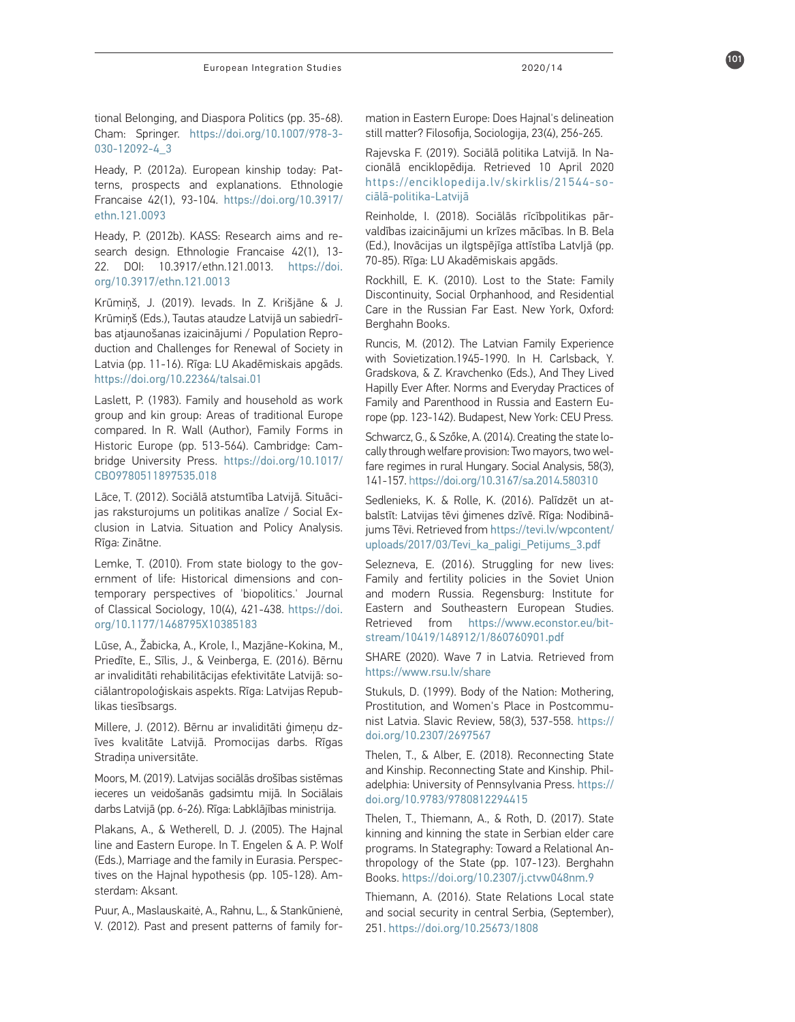tional Belonging, and Diaspora Politics (pp. 35-68). Cham: Springer. https://doi.org/10.1007/978-3- 030-12092-4\_3

Heady, P. (2012a). European kinship today: Pat terns, prospects and explanations. Ethnologie Francaise 42(1), 93-104. https://doi.org/10.3917/ ethn.121.0093

Heady, P. (2012b). KASS: Research aims and re search design. Ethnologie Francaise 42(1), 13- 22. DOI: 10.3917/ethn.121.0013. https://doi. org/10.3917/ethn.121.0013

Krūmiņš, J. (2019). Ievads. In Z. Krišjāne & J. Krūmiņš (Eds.), Tautas ataudze Latvijā un sabiedrī bas atjaunošanas izaicinājumi / Population Repro duction and Challenges for Renewal of Society in Latvia (pp. 11-16). Rīga: LU Akadēmiskais apgāds. https://doi.org/10.22364/talsai.01

Laslett, P. (1983). Family and household as work group and kin group: Areas of traditional Europe compared. In R. Wall (Author), Family Forms in Historic Europe (pp. 513-564). Cambridge: Cam bridge University Press. https://doi.org/10.1017/ CBO9780511897535.018

Lāce, T. (2012). Sociālā atstumtība Latvijā. Situāci jas raksturojums un politikas analīze / Social Ex clusion in Latvia. Situation and Policy Analysis. Rīga: Zinātne.

Lemke, T. (2010). From state biology to the gov ernment of life: Historical dimensions and con temporary perspectives of 'biopolitics.' Journal of Classical Sociology, 10(4), 421-438. https://doi. org/10.1177/1468795X10385183

Lūse, A., Žabicka, A., Krole, I., Mazjāne-Kokina, M., Priedīte, E., Sīlis, J., & Veinberga, E. (2016). Bērnu ar invaliditāti rehabilitācijas efektivitāte Latvijā: so ciālantropoloģiskais aspekts. Rīga: Latvijas Repub likas tiesībsargs.

Millere, J. (2012). Bērnu ar invaliditāti ģimeņu dz īves kvalitāte Latvijā. Promocijas darbs. Rīgas Stradiņa universitāte.

Moors, M. (2019). Latvijas sociālās drošības sistēmas ieceres un veidošanās gadsimtu mijā. In Sociālais darbs Latvijā (pp. 6-26). Rīga: Labklājības ministrija.

Plakans, A., & Wetherell, D. J. (2005). The Hajnal line and Eastern Europe. In T. Engelen & A. P. Wolf (Eds.), Marriage and the family in Eurasia. Perspec tives on the Hajnal hypothesis (pp. 105-128). Am sterdam: Aksant.

Puur, A., Maslauskaitė, A., Rahnu, L., & Stankūnienė, V. (2012). Past and present patterns of family for -

mation in Eastern Europe: Does Hajnal's delineation still matter? Filosofija, Sociologija, 23(4), 256-265.

Rajevska F. (2019). Sociālā politika Latvijā. In Na cionālā enciklopēdija. Retrieved 10 April 2020 https://enciklopedija.lv/skirklis/21544-so ciālā-politika-Latvijā

Reinholde, I. (2018). Sociālās rīcībpolitikas pār valdības izaicinājumi un krīzes mācības. In B. Bela (Ed.), Inovācijas un ilgtspējīga attīstība LatvIjā (pp. 70-85). R īga: LU Akadēmiskais apgāds.

Rockhill, E. K. (2010). Lost to the State: Family Discontinuity, Social Orphanhood, and Residential Care in the Russian Far East. New York, Oxford: Berghahn Books.

Runcis, M. (2012). The Latvian Family Experience with Sovietization.1945-1990. In H. Carlsback, Y. Gradskova, & Z. Kravchenko (Eds.), And They Lived Hapilly Ever After. Norms and Everyday Practices of Family and Parenthood in Russia and Eastern Eu rope (pp. 123-142). Budapest, New York: CEU Press.

Schwarcz, G., & Szőke, A. (2014). Creating the state lo cally through welfare provision: Two mayors, two wel fare regimes in rural Hungary. Social Analysis, 58(3), 141-157. https://doi.org/10.3167/sa.2014.580310

Sedlenieks, K. & Rolle, K. (2016). Palīdzēt un at balstīt: Latvijas tēvi ģimenes dzīvē. Rīga: Nodibinā jums Tēvi. Retrieved from https://tevi.lv/wpcontent/ uploads/2017/03/Tevi\_ka\_paligi\_Petijums\_3.pdf

Selezneva, E. (2016). Struggling for new lives: Family and fertility policies in the Soviet Union and modern Russia. Regensburg: Institute for Eastern and Southeastern European Studies. Retrieved from https://www.econstor.eu/bit stream/10419/148912/1/860760901.pdf

SHARE (2020). Wave 7 in Latvia. Retrieved from https://www.rsu.lv/share

Stukuls, D. (1999). Body of the Nation: Mothering, Prostitution, and Women's Place in Postcommu nist Latvia. Slavic Review, 58(3), 537-558. https:// doi.org/10.2307/2697567

Thelen, T., & Alber, E. (2018). Reconnecting State and Kinship. Reconnecting State and Kinship. Phil adelphia: University of Pennsylvania Press. https:// doi.org/10.9783/9780812294415

Thelen, T., Thiemann, A., & Roth, D. (2017). State kinning and kinning the state in Serbian elder care programs. In Stategraphy: Toward a Relational An thropology of the State (pp. 107-123). Berghahn Books. https://doi.org/10.2307/j.ctvw048nm.9

Thiemann, A. (2016). State Relations Local state and social security in central Serbia, (September), 251. https://doi.org/10.25673/1808